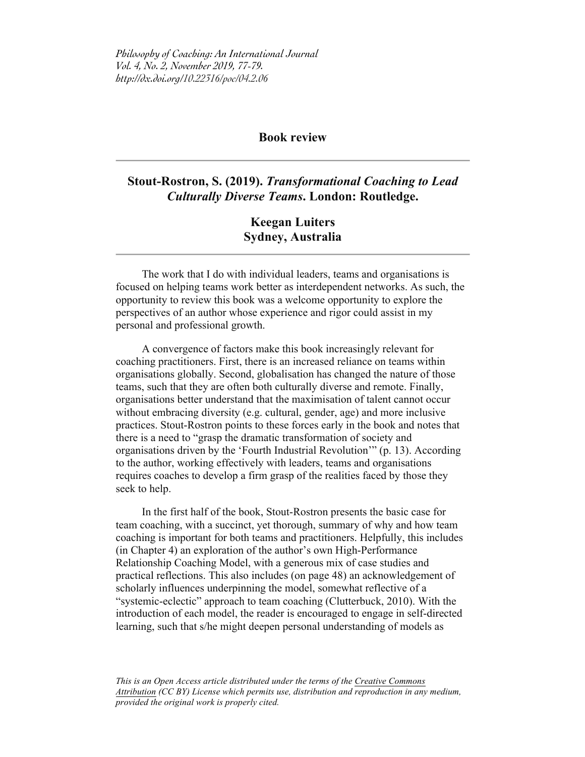*Philosophy of Coaching: An International Journal Vol. 4, No. 2, November 2019, 77-79. http://dx.doi.org/10.22316/poc/04.2.06*

## **Book review**

## **Stout-Rostron, S. (2019).** *Transformational Coaching to Lead Culturally Diverse Teams***. London: Routledge.**

## **Keegan Luiters Sydney, Australia**

The work that I do with individual leaders, teams and organisations is focused on helping teams work better as interdependent networks. As such, the opportunity to review this book was a welcome opportunity to explore the perspectives of an author whose experience and rigor could assist in my personal and professional growth.

A convergence of factors make this book increasingly relevant for coaching practitioners. First, there is an increased reliance on teams within organisations globally. Second, globalisation has changed the nature of those teams, such that they are often both culturally diverse and remote. Finally, organisations better understand that the maximisation of talent cannot occur without embracing diversity (e.g. cultural, gender, age) and more inclusive practices. Stout-Rostron points to these forces early in the book and notes that there is a need to "grasp the dramatic transformation of society and organisations driven by the 'Fourth Industrial Revolution'" (p. 13). According to the author, working effectively with leaders, teams and organisations requires coaches to develop a firm grasp of the realities faced by those they seek to help.

In the first half of the book, Stout-Rostron presents the basic case for team coaching, with a succinct, yet thorough, summary of why and how team coaching is important for both teams and practitioners. Helpfully, this includes (in Chapter 4) an exploration of the author's own High-Performance Relationship Coaching Model, with a generous mix of case studies and practical reflections. This also includes (on page 48) an acknowledgement of scholarly influences underpinning the model, somewhat reflective of a "systemic-eclectic" approach to team coaching (Clutterbuck, 2010). With the introduction of each model, the reader is encouraged to engage in self-directed learning, such that s/he might deepen personal understanding of models as

*This is an Open Access article distributed under the terms of the Creative Commons Attribution (CC BY) License which permits use, distribution and reproduction in any medium, provided the original work is properly cited.*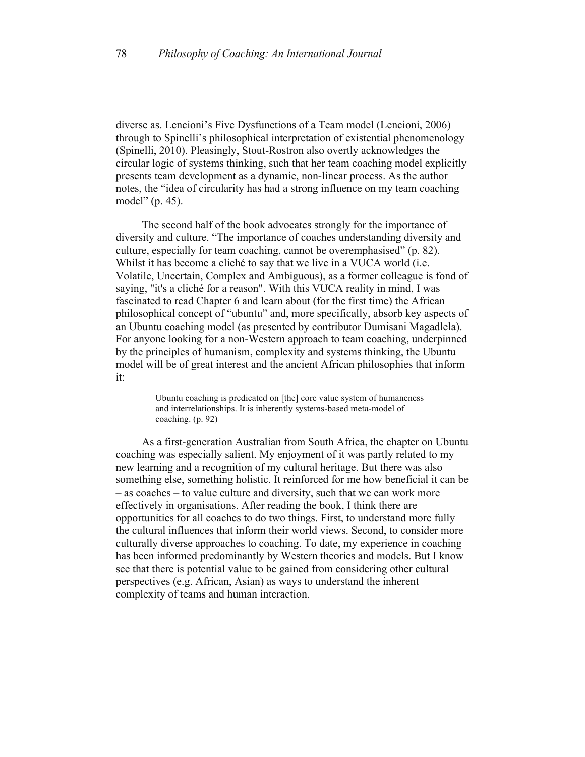diverse as. Lencioni's Five Dysfunctions of a Team model (Lencioni, 2006) through to Spinelli's philosophical interpretation of existential phenomenology (Spinelli, 2010). Pleasingly, Stout-Rostron also overtly acknowledges the circular logic of systems thinking, such that her team coaching model explicitly presents team development as a dynamic, non-linear process. As the author notes, the "idea of circularity has had a strong influence on my team coaching model" (p. 45).

The second half of the book advocates strongly for the importance of diversity and culture. "The importance of coaches understanding diversity and culture, especially for team coaching, cannot be overemphasised" (p. 82). Whilst it has become a cliché to say that we live in a VUCA world *(i.e.*) Volatile, Uncertain, Complex and Ambiguous), as a former colleague is fond of saying, "it's a cliché for a reason". With this VUCA reality in mind, I was fascinated to read Chapter 6 and learn about (for the first time) the African philosophical concept of "ubuntu" and, more specifically, absorb key aspects of an Ubuntu coaching model (as presented by contributor Dumisani Magadlela). For anyone looking for a non-Western approach to team coaching, underpinned by the principles of humanism, complexity and systems thinking, the Ubuntu model will be of great interest and the ancient African philosophies that inform it:

> Ubuntu coaching is predicated on [the] core value system of humaneness and interrelationships. It is inherently systems-based meta-model of coaching. (p. 92)

As a first-generation Australian from South Africa, the chapter on Ubuntu coaching was especially salient. My enjoyment of it was partly related to my new learning and a recognition of my cultural heritage. But there was also something else, something holistic. It reinforced for me how beneficial it can be – as coaches – to value culture and diversity, such that we can work more effectively in organisations. After reading the book, I think there are opportunities for all coaches to do two things. First, to understand more fully the cultural influences that inform their world views. Second, to consider more culturally diverse approaches to coaching. To date, my experience in coaching has been informed predominantly by Western theories and models. But I know see that there is potential value to be gained from considering other cultural perspectives (e.g. African, Asian) as ways to understand the inherent complexity of teams and human interaction.